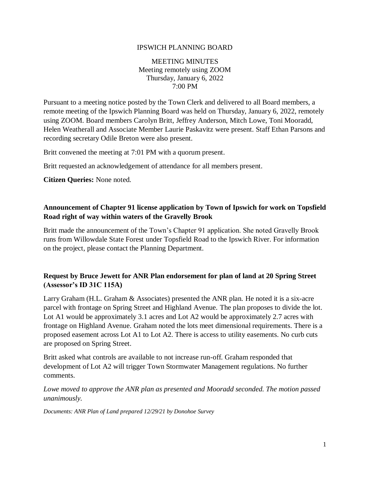#### IPSWICH PLANNING BOARD

MEETING MINUTES Meeting remotely using ZOOM Thursday, January 6, 2022 7:00 PM

Pursuant to a meeting notice posted by the Town Clerk and delivered to all Board members, a remote meeting of the Ipswich Planning Board was held on Thursday, January 6, 2022, remotely using ZOOM. Board members Carolyn Britt, Jeffrey Anderson, Mitch Lowe, Toni Mooradd, Helen Weatherall and Associate Member Laurie Paskavitz were present. Staff Ethan Parsons and recording secretary Odile Breton were also present.

Britt convened the meeting at 7:01 PM with a quorum present.

Britt requested an acknowledgement of attendance for all members present.

**Citizen Queries:** None noted.

#### **Announcement of Chapter 91 license application by Town of Ipswich for work on Topsfield Road right of way within waters of the Gravelly Brook**

Britt made the announcement of the Town's Chapter 91 application. She noted Gravelly Brook runs from Willowdale State Forest under Topsfield Road to the Ipswich River. For information on the project, please contact the Planning Department.

## **Request by Bruce Jewett for ANR Plan endorsement for plan of land at 20 Spring Street (Assessor's ID 31C 115A)**

Larry Graham (H.L. Graham & Associates) presented the ANR plan. He noted it is a six-acre parcel with frontage on Spring Street and Highland Avenue. The plan proposes to divide the lot. Lot A1 would be approximately 3.1 acres and Lot A2 would be approximately 2.7 acres with frontage on Highland Avenue. Graham noted the lots meet dimensional requirements. There is a proposed easement across Lot A1 to Lot A2. There is access to utility easements. No curb cuts are proposed on Spring Street.

Britt asked what controls are available to not increase run-off. Graham responded that development of Lot A2 will trigger Town Stormwater Management regulations. No further comments.

*Lowe moved to approve the ANR plan as presented and Mooradd seconded. The motion passed unanimously.*

*Documents: ANR Plan of Land prepared 12/29/21 by Donohoe Survey*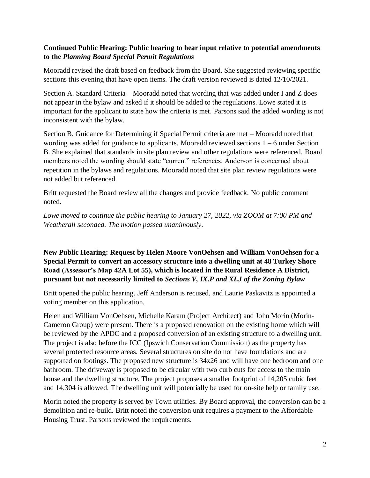## **Continued Public Hearing: Public hearing to hear input relative to potential amendments to the** *Planning Board Special Permit Regulations*

Mooradd revised the draft based on feedback from the Board. She suggested reviewing specific sections this evening that have open items. The draft version reviewed is dated 12/10/2021.

Section A. Standard Criteria – Mooradd noted that wording that was added under I and Z does not appear in the bylaw and asked if it should be added to the regulations. Lowe stated it is important for the applicant to state how the criteria is met. Parsons said the added wording is not inconsistent with the bylaw.

Section B. Guidance for Determining if Special Permit criteria are met – Mooradd noted that wording was added for guidance to applicants. Mooradd reviewed sections 1 – 6 under Section B. She explained that standards in site plan review and other regulations were referenced. Board members noted the wording should state "current" references. Anderson is concerned about repetition in the bylaws and regulations. Mooradd noted that site plan review regulations were not added but referenced.

Britt requested the Board review all the changes and provide feedback. No public comment noted.

*Lowe moved to continue the public hearing to January 27, 2022, via ZOOM at 7:00 PM and Weatherall seconded. The motion passed unanimously*.

## **New Public Hearing: Request by Helen Moore VonOehsen and William VonOehsen for a Special Permit to convert an accessory structure into a dwelling unit at 48 Turkey Shore Road (Assessor's Map 42A Lot 55), which is located in the Rural Residence A District, pursuant but not necessarily limited to** *Sections V, IX.P and XI.J of the Zoning Bylaw*

Britt opened the public hearing. Jeff Anderson is recused, and Laurie Paskavitz is appointed a voting member on this application.

Helen and William VonOehsen, Michelle Karam (Project Architect) and John Morin (Morin-Cameron Group) were present. There is a proposed renovation on the existing home which will be reviewed by the APDC and a proposed conversion of an existing structure to a dwelling unit. The project is also before the ICC (Ipswich Conservation Commission) as the property has several protected resource areas. Several structures on site do not have foundations and are supported on footings. The proposed new structure is 34x26 and will have one bedroom and one bathroom. The driveway is proposed to be circular with two curb cuts for access to the main house and the dwelling structure. The project proposes a smaller footprint of 14,205 cubic feet and 14,304 is allowed. The dwelling unit will potentially be used for on-site help or family use.

Morin noted the property is served by Town utilities. By Board approval, the conversion can be a demolition and re-build. Britt noted the conversion unit requires a payment to the Affordable Housing Trust. Parsons reviewed the requirements.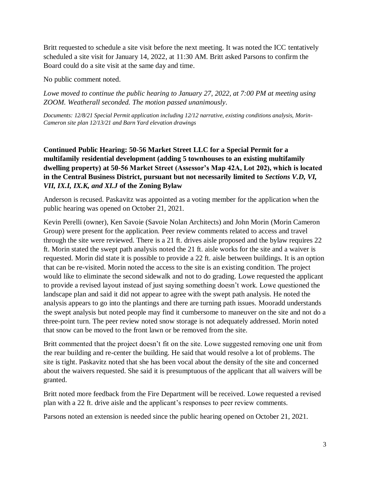Britt requested to schedule a site visit before the next meeting. It was noted the ICC tentatively scheduled a site visit for January 14, 2022, at 11:30 AM. Britt asked Parsons to confirm the Board could do a site visit at the same day and time.

No public comment noted.

*Lowe moved to continue the public hearing to January 27, 2022, at 7:00 PM at meeting using ZOOM. Weatherall seconded. The motion passed unanimously*.

*Documents: 12/8/21 Special Permit application including 12/12 narrative, existing conditions analysis, Morin-Cameron site plan 12/13/21 and Barn Yard elevation drawings*

# **Continued Public Hearing: 50-56 Market Street LLC for a Special Permit for a multifamily residential development (adding 5 townhouses to an existing multifamily dwelling property) at 50-56 Market Street (Assessor's Map 42A, Lot 202), which is located in the Central Business District, pursuant but not necessarily limited to** *Sections V.D, VI, VII, IX.I, IX.K, and XI.J* **of the Zoning Bylaw**

Anderson is recused. Paskavitz was appointed as a voting member for the application when the public hearing was opened on October 21, 2021.

Kevin Perelli (owner), Ken Savoie (Savoie Nolan Architects) and John Morin (Morin Cameron Group) were present for the application. Peer review comments related to access and travel through the site were reviewed. There is a 21 ft. drives aisle proposed and the bylaw requires 22 ft. Morin stated the swept path analysis noted the 21 ft. aisle works for the site and a waiver is requested. Morin did state it is possible to provide a 22 ft. aisle between buildings. It is an option that can be re-visited. Morin noted the access to the site is an existing condition. The project would like to eliminate the second sidewalk and not to do grading. Lowe requested the applicant to provide a revised layout instead of just saying something doesn't work. Lowe questioned the landscape plan and said it did not appear to agree with the swept path analysis. He noted the analysis appears to go into the plantings and there are turning path issues. Mooradd understands the swept analysis but noted people may find it cumbersome to maneuver on the site and not do a three-point turn. The peer review noted snow storage is not adequately addressed. Morin noted that snow can be moved to the front lawn or be removed from the site.

Britt commented that the project doesn't fit on the site. Lowe suggested removing one unit from the rear building and re-center the building. He said that would resolve a lot of problems. The site is tight. Paskavitz noted that she has been vocal about the density of the site and concerned about the waivers requested. She said it is presumptuous of the applicant that all waivers will be granted.

Britt noted more feedback from the Fire Department will be received. Lowe requested a revised plan with a 22 ft. drive aisle and the applicant's responses to peer review comments.

Parsons noted an extension is needed since the public hearing opened on October 21, 2021.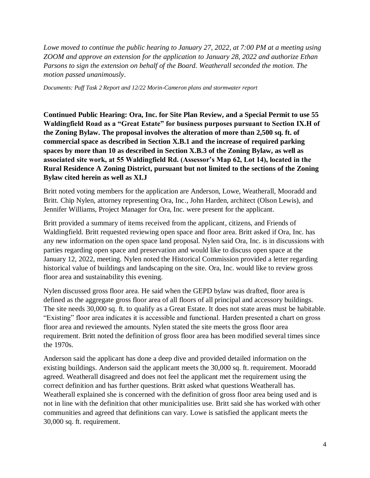*Lowe moved to continue the public hearing to January 27, 2022, at 7:00 PM at a meeting using ZOOM and approve an extension for the application to January 28, 2022 and authorize Ethan Parsons to sign the extension on behalf of the Board. Weatherall seconded the motion. The motion passed unanimously*.

*Documents: Puff Task 2 Report and 12/22 Morin-Cameron plans and stormwater report*

**Continued Public Hearing: Ora, Inc. for Site Plan Review, and a Special Permit to use 55 Waldingfield Road as a "Great Estate" for business purposes pursuant to Section IX.H of the Zoning Bylaw. The proposal involves the alteration of more than 2,500 sq. ft. of commercial space as described in Section X.B.1 and the increase of required parking spaces by more than 10 as described in Section X.B.3 of the Zoning Bylaw, as well as associated site work, at 55 Waldingfield Rd. (Assessor's Map 62, Lot 14), located in the Rural Residence A Zoning District, pursuant but not limited to the sections of the Zoning Bylaw cited herein as well as XI.J**

Britt noted voting members for the application are Anderson, Lowe, Weatherall, Mooradd and Britt. Chip Nylen, attorney representing Ora, Inc., John Harden, architect (Olson Lewis), and Jennifer Williams, Project Manager for Ora, Inc. were present for the applicant.

Britt provided a summary of items received from the applicant, citizens, and Friends of Waldingfield. Britt requested reviewing open space and floor area. Britt asked if Ora, Inc. has any new information on the open space land proposal. Nylen said Ora, Inc. is in discussions with parties regarding open space and preservation and would like to discuss open space at the January 12, 2022, meeting. Nylen noted the Historical Commission provided a letter regarding historical value of buildings and landscaping on the site. Ora, Inc. would like to review gross floor area and sustainability this evening.

Nylen discussed gross floor area. He said when the GEPD bylaw was drafted, floor area is defined as the aggregate gross floor area of all floors of all principal and accessory buildings. The site needs 30,000 sq. ft. to qualify as a Great Estate. It does not state areas must be habitable. "Existing" floor area indicates it is accessible and functional. Harden presented a chart on gross floor area and reviewed the amounts. Nylen stated the site meets the gross floor area requirement. Britt noted the definition of gross floor area has been modified several times since the 1970s.

Anderson said the applicant has done a deep dive and provided detailed information on the existing buildings. Anderson said the applicant meets the 30,000 sq. ft. requirement. Mooradd agreed. Weatherall disagreed and does not feel the applicant met the requirement using the correct definition and has further questions. Britt asked what questions Weatherall has. Weatherall explained she is concerned with the definition of gross floor area being used and is not in line with the definition that other municipalities use. Britt said she has worked with other communities and agreed that definitions can vary. Lowe is satisfied the applicant meets the 30,000 sq. ft. requirement.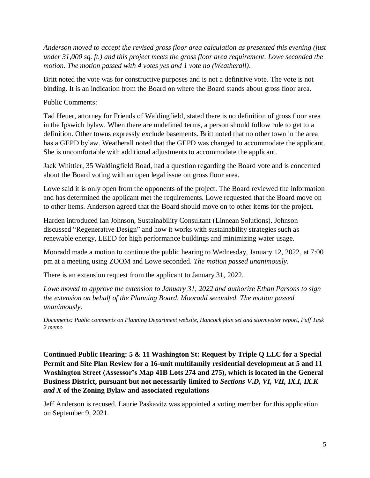*Anderson moved to accept the revised gross floor area calculation as presented this evening (just under 31,000 sq. ft.) and this project meets the gross floor area requirement. Lowe seconded the motion. The motion passed with 4 votes yes and 1 vote no (Weatherall)*.

Britt noted the vote was for constructive purposes and is not a definitive vote. The vote is not binding. It is an indication from the Board on where the Board stands about gross floor area.

Public Comments:

Tad Heuer, attorney for Friends of Waldingfield, stated there is no definition of gross floor area in the Ipswich bylaw. When there are undefined terms, a person should follow rule to get to a definition. Other towns expressly exclude basements. Britt noted that no other town in the area has a GEPD bylaw. Weatherall noted that the GEPD was changed to accommodate the applicant. She is uncomfortable with additional adjustments to accommodate the applicant.

Jack Whittier, 35 Waldingfield Road, had a question regarding the Board vote and is concerned about the Board voting with an open legal issue on gross floor area.

Lowe said it is only open from the opponents of the project. The Board reviewed the information and has determined the applicant met the requirements. Lowe requested that the Board move on to other items. Anderson agreed that the Board should move on to other items for the project.

Harden introduced Ian Johnson, Sustainability Consultant (Linnean Solutions). Johnson discussed "Regenerative Design" and how it works with sustainability strategies such as renewable energy, LEED for high performance buildings and minimizing water usage.

Mooradd made a motion to continue the public hearing to Wednesday, January 12, 2022, at 7:00 pm at a meeting using ZOOM and Lowe seconded. *The motion passed unanimously*.

There is an extension request from the applicant to January 31, 2022.

*Lowe moved to approve the extension to January 31, 2022 and authorize Ethan Parsons to sign the extension on behalf of the Planning Board. Mooradd seconded. The motion passed unanimously*.

*Documents: Public comments on Planning Department website, Hancock plan set and stormwater report, Puff Task 2 memo*

**Continued Public Hearing: 5 & 11 Washington St: Request by Triple Q LLC for a Special Permit and Site Plan Review for a 16-unit multifamily residential development at 5 and 11 Washington Street (Assessor's Map 41B Lots 274 and 275), which is located in the General Business District, pursuant but not necessarily limited to** *Sections V.D, VI, VII, IX.I, IX.K and X* **of the Zoning Bylaw and associated regulations**

Jeff Anderson is recused. Laurie Paskavitz was appointed a voting member for this application on September 9, 2021.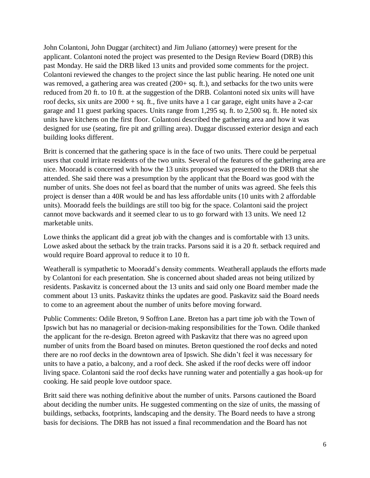John Colantoni, John Duggar (architect) and Jim Juliano (attorney) were present for the applicant. Colantoni noted the project was presented to the Design Review Board (DRB) this past Monday. He said the DRB liked 13 units and provided some comments for the project. Colantoni reviewed the changes to the project since the last public hearing. He noted one unit was removed, a gathering area was created (200+ sq. ft.), and setbacks for the two units were reduced from 20 ft. to 10 ft. at the suggestion of the DRB. Colantoni noted six units will have roof decks, six units are  $2000 + sq$ . ft., five units have a 1 car garage, eight units have a 2-car garage and 11 guest parking spaces. Units range from 1,295 sq. ft. to 2,500 sq. ft. He noted six units have kitchens on the first floor. Colantoni described the gathering area and how it was designed for use (seating, fire pit and grilling area). Duggar discussed exterior design and each building looks different.

Britt is concerned that the gathering space is in the face of two units. There could be perpetual users that could irritate residents of the two units. Several of the features of the gathering area are nice. Mooradd is concerned with how the 13 units proposed was presented to the DRB that she attended. She said there was a presumption by the applicant that the Board was good with the number of units. She does not feel as board that the number of units was agreed. She feels this project is denser than a 40R would be and has less affordable units (10 units with 2 affordable units). Mooradd feels the buildings are still too big for the space. Colantoni said the project cannot move backwards and it seemed clear to us to go forward with 13 units. We need 12 marketable units.

Lowe thinks the applicant did a great job with the changes and is comfortable with 13 units. Lowe asked about the setback by the train tracks. Parsons said it is a 20 ft. setback required and would require Board approval to reduce it to 10 ft.

Weatherall is sympathetic to Mooradd's density comments. Weatherall applauds the efforts made by Colantoni for each presentation. She is concerned about shaded areas not being utilized by residents. Paskavitz is concerned about the 13 units and said only one Board member made the comment about 13 units. Paskavitz thinks the updates are good. Paskavitz said the Board needs to come to an agreement about the number of units before moving forward.

Public Comments: Odile Breton, 9 Soffron Lane. Breton has a part time job with the Town of Ipswich but has no managerial or decision-making responsibilities for the Town. Odile thanked the applicant for the re-design. Breton agreed with Paskavitz that there was no agreed upon number of units from the Board based on minutes. Breton questioned the roof decks and noted there are no roof decks in the downtown area of Ipswich. She didn't feel it was necessary for units to have a patio, a balcony, and a roof deck. She asked if the roof decks were off indoor living space. Colantoni said the roof decks have running water and potentially a gas hook-up for cooking. He said people love outdoor space.

Britt said there was nothing definitive about the number of units. Parsons cautioned the Board about deciding the number units. He suggested commenting on the size of units, the massing of buildings, setbacks, footprints, landscaping and the density. The Board needs to have a strong basis for decisions. The DRB has not issued a final recommendation and the Board has not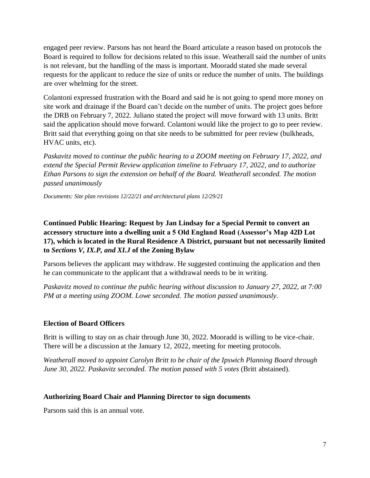engaged peer review. Parsons has not heard the Board articulate a reason based on protocols the Board is required to follow for decisions related to this issue. Weatherall said the number of units is not relevant, but the handling of the mass is important. Mooradd stated she made several requests for the applicant to reduce the size of units or reduce the number of units. The buildings are over whelming for the street.

Colantoni expressed frustration with the Board and said he is not going to spend more money on site work and drainage if the Board can't decide on the number of units. The project goes before the DRB on February 7, 2022. Juliano stated the project will move forward with 13 units. Britt said the application should move forward. Colantoni would like the project to go to peer review. Britt said that everything going on that site needs to be submitted for peer review (bulkheads, HVAC units, etc).

*Paskavitz moved to continue the public hearing to a ZOOM meeting on February 17, 2022, and extend the Special Permit Review application timeline to February 17, 2022, and to authorize Ethan Parsons to sign the extension on behalf of the Board. Weatherall seconded. The motion passed unanimously*

*Documents: Site plan revisions 12/22/21 and architectural plans 12/29/21*

# **Continued Public Hearing: Request by Jan Lindsay for a Special Permit to convert an accessory structure into a dwelling unit a 5 Old England Road (Assessor's Map 42D Lot 17), which is located in the Rural Residence A District, pursuant but not necessarily limited to** *Sections V, IX.P, and XI.J* **of the Zoning Bylaw**

Parsons believes the applicant may withdraw. He suggested continuing the application and then he can communicate to the applicant that a withdrawal needs to be in writing.

*Paskavitz moved to continue the public hearing without discussion to January 27, 2022, at 7:00 PM at a meeting using ZOOM. Lowe seconded. The motion passed unanimously*.

### **Election of Board Officers**

Britt is willing to stay on as chair through June 30, 2022. Mooradd is willing to be vice-chair. There will be a discussion at the January 12, 2022, meeting for meeting protocols.

*Weatherall moved to appoint Carolyn Britt to be chair of the Ipswich Planning Board through June 30, 2022. Paskavitz seconded. The motion passed with 5 votes* (Britt abstained).

# **Authorizing Board Chair and Planning Director to sign documents**

Parsons said this is an annual vote.